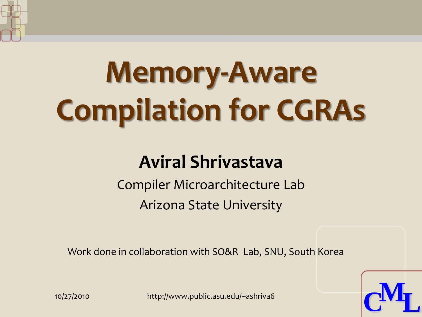

# **Memory-Aware Compilation for CGRAs**

#### **Aviral Shrivastava**

Compiler Microarchitecture Lab Arizona State University

Work done in collaboration with SO&R Lab, SNU, South Korea



10/27/2010 http://www.public.asu.edu/~ashriva6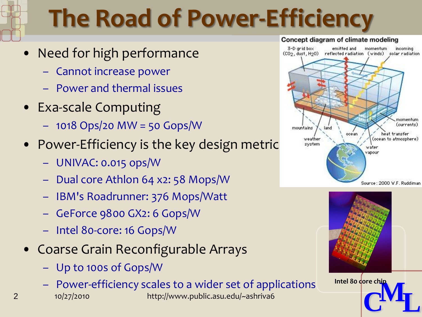# **The Road of Power-Efficiency**

- Need for high performance
	- Cannot increase power
	- Power and thermal issues
- Exa-scale Computing
	- 1018 Ops/20 MW = 50 Gops/W
- Power-Efficiency is the key design metric
	- UNIVAC: 0.015 ops/W
	- Dual core Athlon 64 x2: 58 Mops/W
	- IBM's Roadrunner: 376 Mops/Watt
	- GeForce 9800 GX2: 6 Gops/W
	- Intel 80-core: 16 Gops/W
- Coarse Grain Reconfigurable Arrays
	- Up to 100s of Gops/W
	- Power-efficiency scales to a wider set of applications
- 2 10/27/2010 http://www.public.asu.edu/~ashriva6







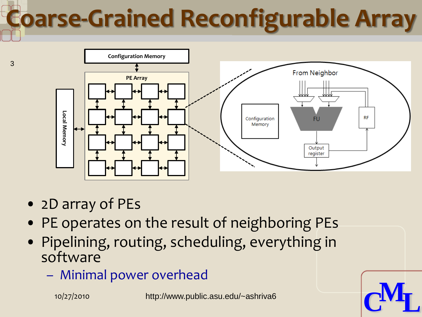# **Coarse-Grained Reconfigurable Array**



• 2D array of PEs

3

- PE operates on the result of neighboring PEs
- Pipelining, routing, scheduling, everything in software
	-

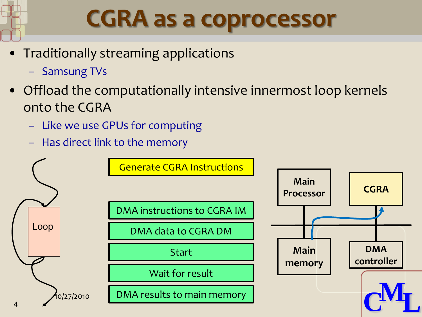

### **CGRA as a coprocessor**

- Traditionally streaming applications
	- Samsung TVs
- Offload the computationally intensive innermost loop kernels onto the CGRA
	- Like we use GPUs for computing
	- Has direct link to the memory

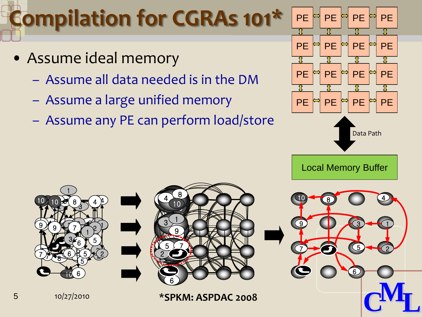### **Compilation for CGRAs 101\***

- Assume ideal memory
	- Assume all data needed is in the DM
	- Assume a large unified memory
	- Assume any PE can perform load/store

<u>110</u>

 $\frac{10}{2}$ 

 

 $\sqrt{1}$ 

ب<br>س

 

≨  $\zeta$ 

 

  $\overline{1}$ 

  $\mathbb{F}$ 



Local Memory Buffer



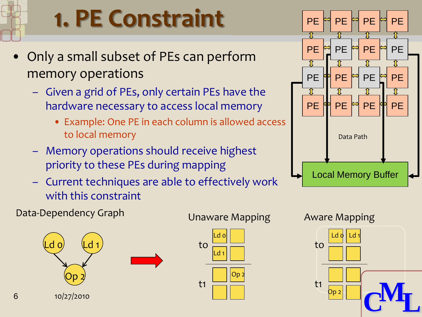### **1. PE Constraint**

- Only a small subset of PEs can perform memory operations
	- Given a grid of PEs, only certain PEs have the hardware necessary to access local memory
		- Example: One PE in each column is allowed access to local memory
	- Memory operations should receive highest priority to these PEs during mapping
	- Current techniques are able to effectively work with this constraint

#### Data-Dependency Graph





### PE FI PE FI PE PE 변 PE 변 PE 변 PE  $PE$   $\frac{1}{2}$  PE  $\frac{1}{2}$  PE  $\frac{1}{2}$  PE  $\mathbf{r}$ PE FFIRE PE FFIRE Data Path Local Memory Buffer

Unaware Mapping Aware Mapping

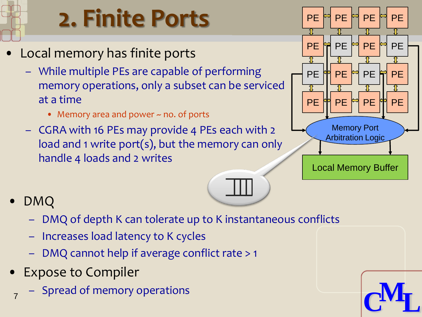

### **2. Finite Ports**

- Local memory has finite ports
	- While multiple PEs are capable of performing memory operations, only a subset can be serviced at a time
		- Memory area and power ~ no. of ports
	- CGRA with 16 PEs may provide 4 PEs each with 2 load and 1 write port(s), but the memory can only handle 4 loads and 2 writes



- DMQ
	- DMQ of depth K can tolerate up to K instantaneous conflicts
	- Increases load latency to K cycles
	- DMQ cannot help if average conflict rate > 1
- Expose to Compiler
	- Spread of memory operations

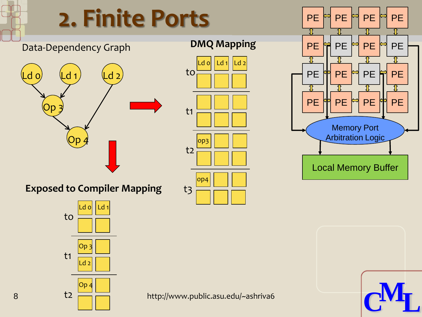

8 **http://www.public.asu.edu/~ashriva6**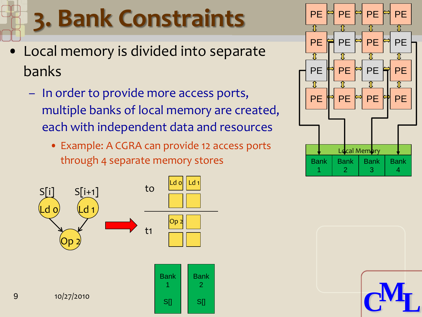# **3. Bank Constraints**

- Local memory is divided into separate banks
	- In order to provide more access ports, multiple banks of local memory are created, each with independent data and resources
		- Example: A CGRA can provide 12 access ports through 4 separate memory stores





**CML**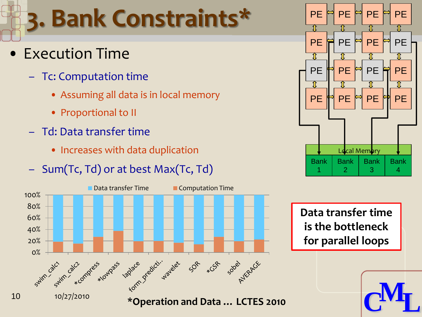### **3. Bank Constraints\***

- Execution Time
	- Tc: Computation time
		- Assuming all data is in local memory
		- Proportional to II
	- Td: Data transfer time
		- Increases with data duplication
	- Sum(Tc, Td) or at best Max(Tc, Td)





**Data transfer time is the bottleneck for parallel loops**

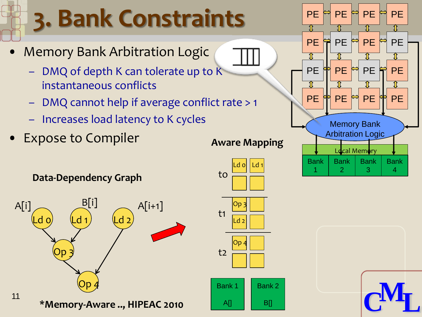# **3. Bank Constraints**

- Memory Bank Arbitration Logic
	- DMQ of depth K can tolerate up to K instantaneous conflicts
	- DMQ cannot help if average conflict rate > 1
	- Increases load latency to K cycles
- Expose to Compiler







 $B<sub>II</sub>$ 

 $ATI$ 

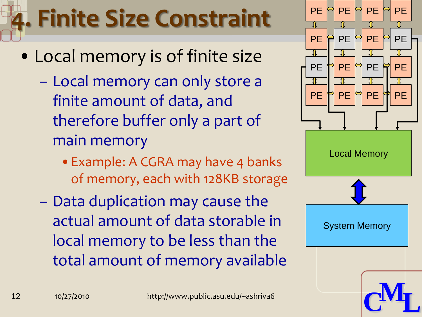# **4. Finite Size Constraint**

- Local memory is of finite size
	- Local memory can only store a finite amount of data, and therefore buffer only a part of main memory
		- Example: A CGRA may have 4 banks of memory, each with 128KB storage
	- Data duplication may cause the actual amount of data storable in local memory to be less than the total amount of memory available

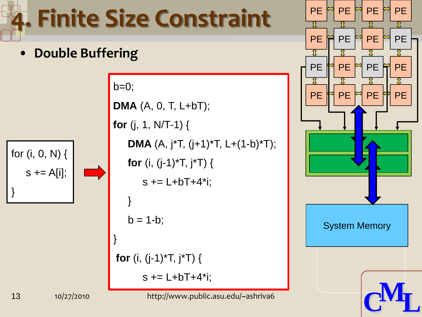# **4. Finite Size Constraint**

• **Double Buffering**



 $b=0$ ; **DMA** (A, 0, T, L+bT); **for** (j, 1, N/T-1) { **DMA** (A, j\*T, (j+1)\*T, L+(1-b)\*T); **for** (i, (j-1)\*T, j\*T) {  $s$  += L+bT+4\*i; }  $b = 1-b;$ } **for** (i, (j-1)\*T, j\*T) {  $s$  += L+bT+4\*i;



**CML**

13 10/27/2010 http://www.public.asu.edu/~ashriva6